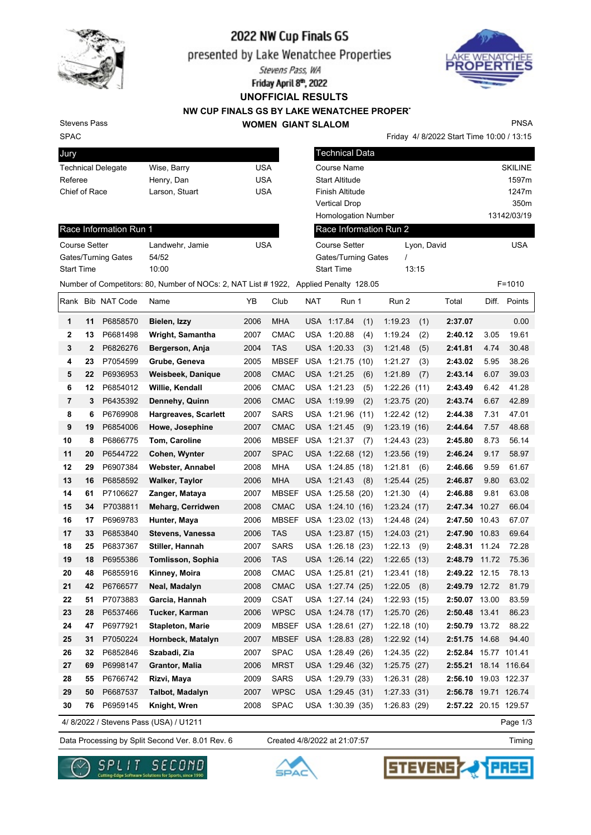

# 2022 NW Cup Finals GS

presented by Lake Wenatchee Properties

Stevens Pass, WA

Friday April 8th, 2022 **UNOFFICIAL RESULTS**

**NW CUP FINALS GS BY LAKE WENATCHEE PROPERT WOMEN GIANT SLALOM**



Friday 4/ 8/2022 Start Time 10:00 / 13:15

Stevens Pass

## SPAC Jury

|  | PNSA |
|--|------|
|  |      |

| Jury                      |                 |            | <b>Technical Data</b>      |             |                |
|---------------------------|-----------------|------------|----------------------------|-------------|----------------|
| <b>Technical Delegate</b> | Wise, Barry     | <b>USA</b> | Course Name                |             | <b>SKILINE</b> |
| Referee                   | Henry, Dan      | <b>USA</b> | <b>Start Altitude</b>      |             | 1597m          |
| Chief of Race             | Larson, Stuart  | <b>USA</b> | Finish Altitude            |             | 1247m          |
|                           |                 |            | <b>Vertical Drop</b>       |             | 350m           |
|                           |                 |            | <b>Homologation Number</b> |             | 13142/03/19    |
| Race Information Run 1    |                 |            | Race Information Run 2     |             |                |
| <b>Course Setter</b>      | Landwehr, Jamie | <b>USA</b> | <b>Course Setter</b>       | Lyon, David | <b>USA</b>     |
| Gates/Turning Gates       | 54/52           |            | Gates/Turning Gates        |             |                |
| <b>Start Time</b>         | 10:00           |            | <b>Start Time</b>          | 13:15       |                |

Number of Competitors: 80, Number of NOCs: 2, NAT List # 1922, Applied Penalty 128.05 F=1010 Rank Bib NAT Code Name **YB** Club NAT Run 1 Run 2 Total Diff. Points **1 11** P6858570 **Bielen, Izzy** 2006 MHA USA 1:17.84 (1) 1:19.23 (1) **2:37.07** 0.00 **2 13** P6681498 **Wright, Samantha** 2007 CMAC USA 1:20.88 (4) 1:19.24 (2) **2:40.12** 3.05 19.61 **3 2** P6826276 **Bergerson, Anja** 2004 TAS USA 1:20.33 (3) 1:21.48 (5) **2:41.81** 4.74 30.48 **4 23** P7054599 **Grube, Geneva** 2005 MBSEF USA 1:21.75 (10) 1:21.27 (3) **2:43.02** 5.95 38.26 **5 22** P6936953 **Weisbeek, Danique** 2008 CMAC USA 1:21.25 (6) 1:21.89 (7) **2:43.14** 6.07 39.03 **6 12** P6854012 **Willie, Kendall** 2006 CMAC USA 1:21.23 (5) 1:22.26 (11) **2:43.49** 6.42 41.28 **7 3** P6435392 **Dennehy, Quinn** 2006 CMAC USA 1:19.99 (2) 1:23.75 (20) **2:43.74** 6.67 42.89 **8 6** P6769908 **Hargreaves, Scarlett** 2007 SARS USA 1:21.96 (11) 1:22.42 (12) **2:44.38** 7.31 47.01 **9 19** P6854006 **Howe, Josephine** 2007 CMAC USA 1:21.45 (9) 1:23.19 (16) **2:44.64** 7.57 48.68 **10 8** P6866775 **Tom, Caroline** 2006 MBSEF USA 1:21.37 (7) 1:24.43 (23) **2:45.80** 8.73 56.14 **11 20** P6544722 **Cohen, Wynter** 2007 SPAC USA 1:22.68 (12) 1:23.56 (19) **2:46.24** 9.17 58.97 **12 29** P6907384 **Webster, Annabel** 2008 MHA USA 1:24.85 (18) 1:21.81 (6) **2:46.66** 9.59 61.67 **13 16** P6858592 **Walker, Taylor** 2006 MHA USA 1:21.43 (8) 1:25.44 (25) **2:46.87** 9.80 63.02 **14 61** P7106627 **Zanger, Mataya** 2007 MBSEF USA 1:25.58 (20) 1:21.30 (4) **2:46.88** 9.81 63.08 **15 34** P7038811 **Meharg, Cerridwen** 2008 CMAC USA 1:24.10 (16) 1:23.24 (17) **2:47.34** 10.27 66.04 **16 17** P6969783 **Hunter, Maya** 2006 MBSEF USA 1:23.02 (13) 1:24.48 (24) **2:47.50** 10.43 67.07 **17 33** P6853840 **Stevens, Vanessa** 2006 TAS USA 1:23.87 (15) 1:24.03 (21) **2:47.90** 10.83 69.64 **18 25** P6837367 **Stiller, Hannah** 2007 SARS USA 1:26.18 (23) 1:22.13 (9) **2:48.31** 11.24 72.28 **19 18** P6955386 **Tomlisson, Sophia** 2006 TAS USA 1:26.14 (22) 1:22.65 (13) **2:48.79** 11.72 75.36 **20 48** P6855916 **Kinney, Moira** 2008 CMAC USA 1:25.81 (21) 1:23.41 (18) **2:49.22** 12.15 78.13 **21 42** P6766577 **Neal, Madalyn** 2008 CMAC USA 1:27.74 (25) 1:22.05 (8) **2:49.79** 12.72 81.79 **22 51** P7073883 **Garcia, Hannah** 2009 CSAT USA 1:27.14 (24) 1:22.93 (15) **2:50.07** 13.00 83.59 **23 28** P6537466 **Tucker, Karman** 2006 WPSC USA 1:24.78 (17) 1:25.70 (26) **2:50.48** 13.41 86.23 **24 47** P6977921 **Stapleton, Marie** 2009 MBSEF USA 1:28.61 (27) 1:22.18 (10) **2:50.79** 13.72 88.22 **25 31** P7050224 **Hornbeck, Matalyn** 2007 MBSEF USA 1:28.83 (28) 1:22.92 (14) **2:51.75** 14.68 94.40 **26 32** P6852846 **Szabadi, Zia** 2007 SPAC USA 1:28.49 (26) 1:24.35 (22) **2:52.84** 15.77 101.41 **27 69** P6998147 **Grantor, Malia** 2006 MRST USA 1:29.46 (32) 1:25.75 (27) **2:55.21** 18.14 116.64 **28 55** P6766742 **Rizvi, Maya** 2009 SARS USA 1:29.79 (33) 1:26.31 (28) **2:56.10** 19.03 122.37 **29 50** P6687537 **Talbot, Madalyn** 2007 WPSC USA 1:29.45 (31) 1:27.33 (31) **2:56.78** 19.71 126.74 **30 76** P6959145 **Knight, Wren** 2008 SPAC USA 1:30.39 (35) 1:26.83 (29) **2:57.22** 20.15 129.57

4/ 8/2022 / Stevens Pass (USA) / U1211

Data Processing by Split Second Ver. 8.01 Rev. 6 Created 4/8/2022 at 21:07:57 Timing Created 4/8/2022 at 21:07:57

Page 1/3





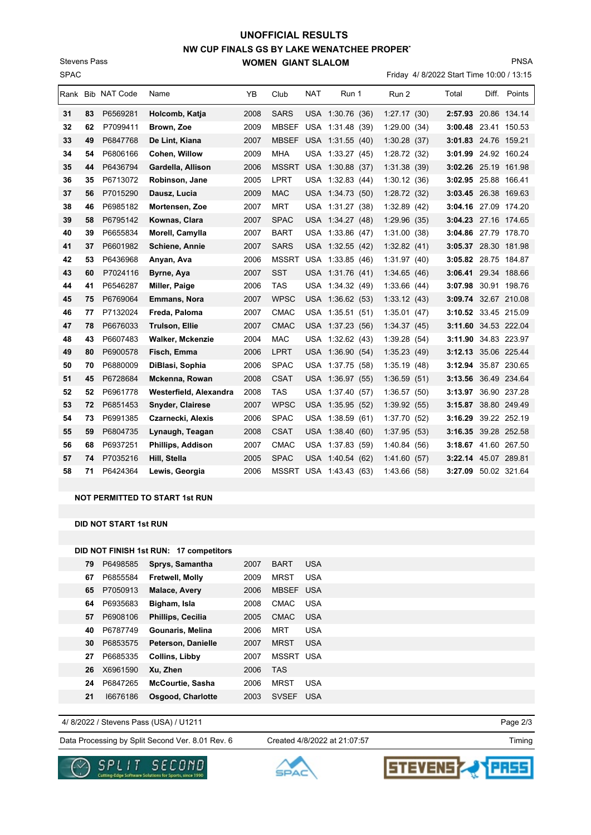# **NW CUP FINALS GS BY LAKE WENATCHEE PROPERT WOMEN GIANT SLALOM UNOFFICIAL RESULTS**

SPAC Stevens Pass

#### Friday 4/ 8/2022 Start Time 10:00 / 13:15

PNSA

|    |    | Rank Bib NAT Code | Name                     | YB   | Club         | NAT | Run 1            | Run 2        | Total                | Diff. | Points               |
|----|----|-------------------|--------------------------|------|--------------|-----|------------------|--------------|----------------------|-------|----------------------|
| 31 | 83 | P6569281          | Holcomb, Katja           | 2008 | <b>SARS</b>  |     | USA 1:30.76 (36) | 1:27.17(30)  |                      |       | 2:57.93 20.86 134.14 |
| 32 | 62 | P7099411          | Brown, Zoe               | 2009 | <b>MBSEF</b> |     | USA 1:31.48 (39) | 1:29.00      | (34)<br>3:00.48      |       | 23.41 150.53         |
| 33 | 49 | P6847768          | De Lint, Kiana           | 2007 | <b>MBSEF</b> |     | USA 1:31.55 (40) | 1:30.28(37)  |                      |       | 3:01.83 24.76 159.21 |
| 34 | 54 | P6806166          | Cohen, Willow            | 2009 | <b>MHA</b>   |     | USA 1:33.27 (45) | 1:28.72 (32) |                      |       | 3:01.99 24.92 160.24 |
| 35 | 44 | P6436794          | Gardella, Allison        | 2006 | <b>MSSRT</b> |     | USA 1:30.88 (37) | 1:31.38(39)  |                      |       | 3:02.26 25.19 161.98 |
| 36 | 35 | P6713072          | Robinson, Jane           | 2005 | <b>LPRT</b>  |     | USA 1:32.83 (44) | 1:30.12(36)  | 3:02.95 25.88 166.41 |       |                      |
| 37 | 56 | P7015290          | Dausz, Lucia             | 2009 | <b>MAC</b>   |     | USA 1:34.73 (50) | 1:28.72(32)  |                      |       | 3:03.45 26.38 169.63 |
| 38 | 46 | P6985182          | Mortensen, Zoe           | 2007 | MRT          |     | USA 1:31.27 (38) | 1:32.89(42)  |                      |       | 3:04.16 27.09 174.20 |
| 39 | 58 | P6795142          | Kownas, Clara            | 2007 | <b>SPAC</b>  |     | USA 1:34.27 (48) | 1:29.96(35)  |                      |       | 3:04.23 27.16 174.65 |
| 40 | 39 | P6655834          | Morell, Camylla          | 2007 | <b>BART</b>  |     | USA 1:33.86 (47) | 1:31.00      | (38)                 |       | 3:04.86 27.79 178.70 |
| 41 | 37 | P6601982          | <b>Schiene, Annie</b>    | 2007 | <b>SARS</b>  |     | USA 1:32.55 (42) | 1:32.82(41)  |                      |       | 3:05.37 28.30 181.98 |
| 42 | 53 | P6436968          | Anyan, Ava               | 2006 | <b>MSSRT</b> |     | USA 1:33.85 (46) | 1:31.97(40)  |                      |       | 3:05.82 28.75 184.87 |
| 43 | 60 | P7024116          | Byrne, Aya               | 2007 | <b>SST</b>   |     | USA 1:31.76 (41) | 1:34.65(46)  |                      |       | 3:06.41 29.34 188.66 |
| 44 | 41 | P6546287          | Miller, Paige            | 2006 | TAS          |     | USA 1:34.32 (49) | 1:33.66(44)  |                      |       | 3:07.98 30.91 198.76 |
| 45 | 75 | P6769064          | <b>Emmans, Nora</b>      | 2007 | <b>WPSC</b>  |     | USA 1:36.62 (53) | 1:33.12(43)  |                      |       | 3:09.74 32.67 210.08 |
| 46 | 77 | P7132024          | Freda, Paloma            | 2007 | <b>CMAC</b>  |     | USA 1:35.51 (51) | 1:35.01(47)  |                      |       | 3:10.52 33.45 215.09 |
| 47 | 78 | P6676033          | <b>Trulson, Ellie</b>    | 2007 | <b>CMAC</b>  |     | USA 1:37.23 (56) | 1:34.37(45)  |                      |       | 3:11.60 34.53 222.04 |
| 48 | 43 | P6607483          | <b>Walker, Mckenzie</b>  | 2004 | <b>MAC</b>   |     | USA 1:32.62 (43) | 1:39.28(54)  |                      |       | 3:11.90 34.83 223.97 |
| 49 | 80 | P6900578          | Fisch, Emma              | 2006 | <b>LPRT</b>  |     | USA 1:36.90 (54) | 1:35.23(49)  |                      |       | 3:12.13 35.06 225.44 |
| 50 | 70 | P6880009          | DiBlasi, Sophia          | 2006 | <b>SPAC</b>  |     | USA 1:37.75 (58) | 1:35.19(48)  |                      |       | 3:12.94 35.87 230.65 |
| 51 | 45 | P6728684          | Mckenna, Rowan           | 2008 | <b>CSAT</b>  |     | USA 1:36.97 (55) | 1:36.59(51)  |                      |       | 3:13.56 36.49 234.64 |
| 52 | 52 | P6961778          | Westerfield, Alexandra   | 2008 | TAS          |     | USA 1:37.40 (57) | 1:36.57(50)  |                      |       | 3:13.97 36.90 237.28 |
| 53 | 72 | P6851453          | <b>Snyder, Clairese</b>  | 2007 | <b>WPSC</b>  |     | USA 1:35.95 (52) | 1:39.92(55)  |                      |       | 3:15.87 38.80 249.49 |
| 54 | 73 | P6991385          | Czarnecki, Alexis        | 2006 | <b>SPAC</b>  |     | USA 1:38.59 (61) | 1:37.70 (52) | 3:16.29              |       | 39.22 252.19         |
| 55 | 59 | P6804735          | Lynaugh, Teagan          | 2008 | <b>CSAT</b>  |     | USA 1:38.40 (60) | 1:37.95(53)  |                      |       | 3:16.35 39.28 252.58 |
| 56 | 68 | P6937251          | <b>Phillips, Addison</b> | 2007 | CMAC         |     | USA 1:37.83 (59) | 1:40.84(56)  |                      |       | 3:18.67 41.60 267.50 |
| 57 | 74 | P7035216          | Hill, Stella             | 2005 | <b>SPAC</b>  |     | USA 1:40.54 (62) | 1:41.60(57)  |                      |       | 3:22.14 45.07 289.81 |
| 58 | 71 | P6424364          | Lewis, Georgia           | 2006 | <b>MSSRT</b> |     | USA 1:43.43 (63) | 1:43.66(58)  |                      |       | 3:27.09 50.02 321.64 |
|    |    |                   |                          |      |              |     |                  |              |                      |       |                      |

#### **NOT PERMITTED TO START 1st RUN**

#### **DID NOT START 1st RUN**

|    |          | DID NOT FINISH 1st RUN: 17 competitors |      |              |            |
|----|----------|----------------------------------------|------|--------------|------------|
| 79 | P6498585 | Sprys, Samantha                        | 2007 | <b>BART</b>  | <b>USA</b> |
| 67 | P6855584 | <b>Fretwell, Molly</b>                 | 2009 | MRST         | <b>USA</b> |
| 65 | P7050913 | <b>Malace, Avery</b>                   | 2006 | <b>MBSFF</b> | <b>USA</b> |
| 64 | P6935683 | Bigham, Isla                           | 2008 | CMAC         | <b>USA</b> |
| 57 | P6908106 | Phillips, Cecilia                      | 2005 | <b>CMAC</b>  | <b>USA</b> |
| 40 | P6787749 | Gounaris, Melina                       | 2006 | MRT          | <b>USA</b> |
| 30 | P6853575 | Peterson, Danielle                     | 2007 | <b>MRST</b>  | <b>USA</b> |
| 27 | P6685335 | <b>Collins, Libby</b>                  | 2007 | <b>MSSRT</b> | USA        |
| 26 | X6961590 | Xu, Zhen                               | 2006 | TAS          |            |
| 24 | P6847265 | <b>McCourtie, Sasha</b>                | 2006 | <b>MRST</b>  | <b>USA</b> |
| 21 | 16676186 | Osgood, Charlotte                      | 2003 | <b>SVSFF</b> | <b>USA</b> |

4/ 8/2022 / Stevens Pass (USA) / U1211

Data Processing by Split Second Ver. 8.01 Rev. 6 Created 4/8/2022 at 21:07:57

Created 4/8/2022 at 21:07:57

Page 2/3